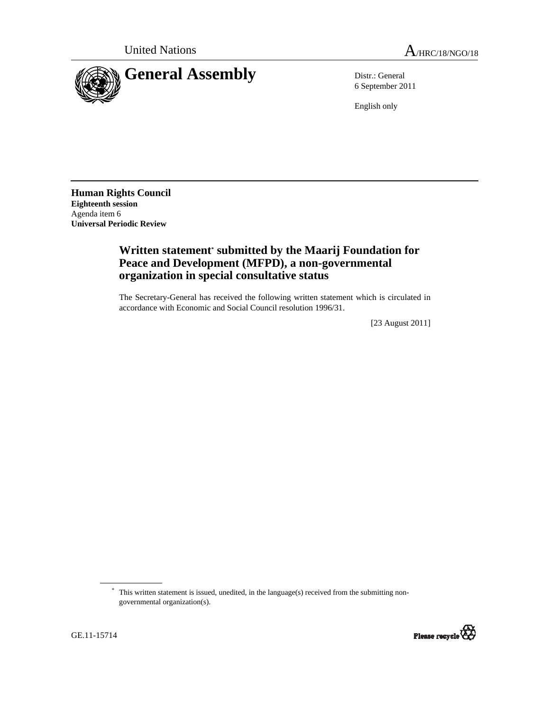

6 September 2011

English only

**Human Rights Council Eighteenth session**  Agenda item 6 **Universal Periodic Review** 

## **Written statement\* submitted by the Maarij Foundation for Peace and Development (MFPD), a non-governmental organization in special consultative status**

The Secretary-General has received the following written statement which is circulated in accordance with Economic and Social Council resolution 1996/31.

[23 August 2011]

<sup>\*</sup> This written statement is issued, unedited, in the language(s) received from the submitting nongovernmental organization(s).

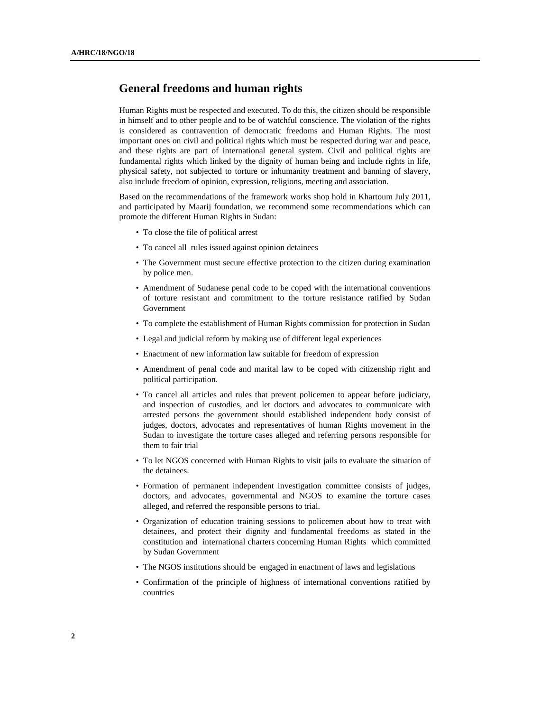## **General freedoms and human rights**

Human Rights must be respected and executed. To do this, the citizen should be responsible in himself and to other people and to be of watchful conscience. The violation of the rights is considered as contravention of democratic freedoms and Human Rights. The most important ones on civil and political rights which must be respected during war and peace, and these rights are part of international general system. Civil and political rights are fundamental rights which linked by the dignity of human being and include rights in life, physical safety, not subjected to torture or inhumanity treatment and banning of slavery, also include freedom of opinion, expression, religions, meeting and association.

Based on the recommendations of the framework works shop hold in Khartoum July 2011, and participated by Maarij foundation, we recommend some recommendations which can promote the different Human Rights in Sudan:

- To close the file of political arrest
- To cancel all rules issued against opinion detainees
- The Government must secure effective protection to the citizen during examination by police men.
- Amendment of Sudanese penal code to be coped with the international conventions of torture resistant and commitment to the torture resistance ratified by Sudan Government
- To complete the establishment of Human Rights commission for protection in Sudan
- Legal and judicial reform by making use of different legal experiences
- Enactment of new information law suitable for freedom of expression
- Amendment of penal code and marital law to be coped with citizenship right and political participation.
- To cancel all articles and rules that prevent policemen to appear before judiciary, and inspection of custodies, and let doctors and advocates to communicate with arrested persons the government should established independent body consist of judges, doctors, advocates and representatives of human Rights movement in the Sudan to investigate the torture cases alleged and referring persons responsible for them to fair trial
- To let NGOS concerned with Human Rights to visit jails to evaluate the situation of the detainees.
- Formation of permanent independent investigation committee consists of judges, doctors, and advocates, governmental and NGOS to examine the torture cases alleged, and referred the responsible persons to trial.
- Organization of education training sessions to policemen about how to treat with detainees, and protect their dignity and fundamental freedoms as stated in the constitution and international charters concerning Human Rights which committed by Sudan Government
- The NGOS institutions should be engaged in enactment of laws and legislations
- Confirmation of the principle of highness of international conventions ratified by countries